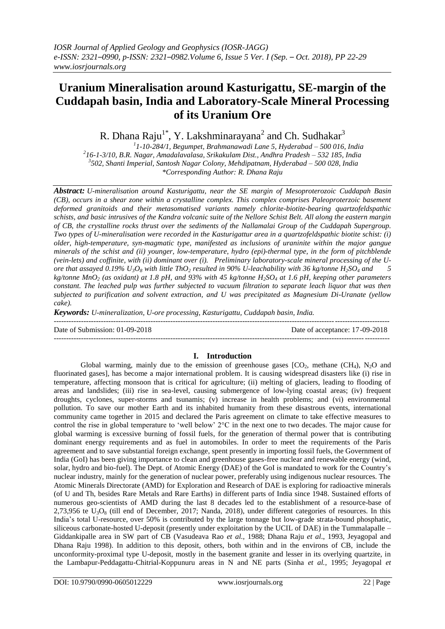# **Uranium Mineralisation around Kasturigattu, SE-margin of the Cuddapah basin, India and Laboratory-Scale Mineral Processing of its Uranium Ore**

R. Dhana Raju<sup>1\*</sup>, Y. Lakshminarayana<sup>2</sup> and Ch. Sudhakar<sup>3</sup>

 *1 1-10-284/1, Begumpet, Brahmanawadi Lane 5, Hyderabad – 500 016, India 2 16-1-3/10, B.R. Nagar, Amadalavalasa, Srikakulam Dist., Andhra Pradesh – 532 185, India 3 502, Shanti Imperial, Santosh Nagar Colony, Mehdipatnam, Hyderabad – 500 028, India \*Corresponding Author: R. Dhana Raju*

*Abstract: U-mineralisation around Kasturigattu, near the SE margin of Mesoproterozoic Cuddapah Basin (CB), occurs in a shear zone within a crystalline complex. This complex comprises Paleoproterzoic basement deformed granitoids and their metasomatised variants namely chlorite-biotite-bearing quartzofeldspathic schists, and basic intrusives of the Kandra volcanic suite of the Nellore Schist Belt. All along the eastern margin of CB, the crystalline rocks thrust over the sediments of the Nallamalai Group of the Cuddapah Supergroup. Two types of U-mineralisation were recorded in the Kasturigattur area in a quartzofeldspathic biotite schist: (i) older, high-temperature, syn-magmatic type, manifested as inclusions of uraninite within the major gangue minerals of the schist and (ii) younger, low-temperature, hydro (epi)-thermal type, in the form of pitchblende (vein-lets) and coffinite, with (ii) dominant over (i). Preliminary laboratory-scale mineral processing of the Uore that assayed 0.19% U3O<sup>8</sup> with little ThO<sup>2</sup> resulted in 90% U-leachability with 36 kg/tonne H2SO<sup>4</sup> and 5 kg/tonne MnO<sup>2</sup> (as oxidant) at 1.8 pH, and 93% with 45 kg/tonne H2SO<sup>4</sup> at 1.6 pH, keeping other parameters constant. The leached pulp was further subjected to vacuum filtration to separate leach liquor that was then subjected to purification and solvent extraction, and U was precipitated as Magnesium Di-Uranate (yellow cake).*

*Keywords: U-mineralization, U-ore processing, Kasturigattu, Cuddapah basin, India.*

--------------------------------------------------------------------------------------------------------------------------------------- Date of Submission: 01-09-2018 Date of acceptance: 17-09-2018

--------------------------------------------------------------------------------------------------------------------------------------*-*

#### **I. Introduction**

Global warming, mainly due to the emission of greenhouse gases  $[CO_2,$  methane  $(CH_4)$ , N<sub>2</sub>O and fluorinated gases], has become a major international problem. It is causing widespread disasters like (i) rise in temperature, affecting monsoon that is critical for agriculture; (ii) melting of glaciers, leading to flooding of areas and landslides; (iii) rise in sea-level, causing submergence of low-lying coastal areas; (iv) frequent droughts, cyclones, super-storms and tsunamis; (v) increase in health problems; and (vi) environmental pollution. To save our mother Earth and its inhabited humanity from these disastrous events, international community came together in 2015 and declared the Paris agreement on climate to take effective measures to control the rise in global temperature to "well below" 2°C in the next one to two decades. The major cause for global warming is excessive burning of fossil fuels, for the generation of thermal power that is contributing dominant energy requirements and as fuel in automobiles. In order to meet the requirements of the Paris agreement and to save substantial foreign exchange, spent presently in importing fossil fuels, the Government of India (GoI) has been giving importance to clean and greenhouse gases-free nuclear and renewable energy (wind, solar, hydro and bio-fuel). The Dept. of Atomic Energy (DAE) of the GoI is mandated to work for the Country"s nuclear industry, mainly for the generation of nuclear power, preferably using indigenous nuclear resources. The Atomic Minerals Directorate (AMD) for Exploration and Research of DAE is exploring for radioactive minerals (of U and Th, besides Rare Metals and Rare Earths) in different parts of India since 1948. Sustained efforts of numerous geo-scientists of AMD during the last 8 decades led to the establishment of a resource-base of 2,73,956 te  $U_3O_8$  (till end of December, 2017; Nanda, 2018), under different categories of resources. In this India"s total U-resource, over 50% is contributed by the large tonnage but low-grade strata-bound phosphatic, siliceous carbonate-hosted U-deposit (presently under exploitation by the UCIL of DAE) in the Tummalapalle – Giddankipalle area in SW part of CB (Vasudeava Rao *et al.,* 1988; Dhana Raju *et al*., 1993, Jeyagopal and Dhana Raju 1998). In addition to this deposit, others, both within and in the environs of CB, include the unconformity-proximal type U-deposit, mostly in the basement granite and lesser in its overlying quartzite, in the Lambapur-Peddagattu-Chitrial-Koppunuru areas in N and NE parts (Sinha *et al.,* 1995; Jeyagopal *et*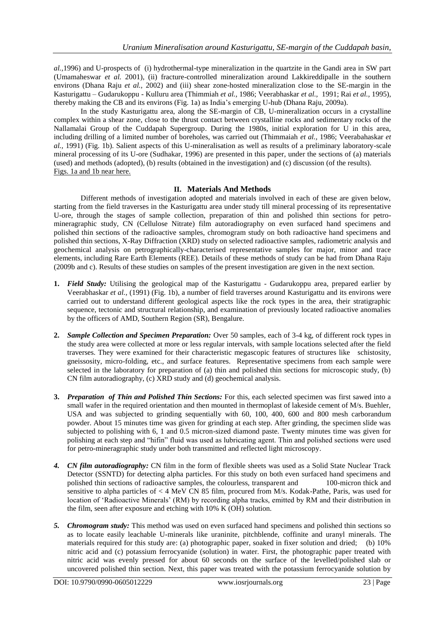*al.,*1996) and U-prospects of (i) hydrothermal-type mineralization in the quartzite in the Gandi area in SW part (Umamaheswar *et al.* 2001), (ii) fracture-controlled mineralization around Lakkireddipalle in the southern environs (Dhana Raju *et al.,* 2002) and (iii) shear zone-hosted mineralization close to the SE-margin in the Kasturigattu – Gudarukoppu - Kulluru area (Thimmiah *et al.,* 1986; Veerabhaskar *et al.,* 1991; Rai *et al.,* 1995), thereby making the CB and its environs (Fig. 1a) as India"s emerging U-hub (Dhana Raju, 2009a).

In the study Kasturigattu area, along the SE-margin of CB, U-mineralization occurs in a crystalline complex within a shear zone, close to the thrust contact between crystalline rocks and sedimentary rocks of the Nallamalai Group of the Cuddapah Supergroup. During the 1980s, initial exploration for U in this area, including drilling of a limited number of boreholes, was carried out (Thimmaiah *et al.,* 1986; Veerabahaskar *et al.,* 1991) (Fig. 1b). Salient aspects of this U-mineralisation as well as results of a preliminary laboratory-scale mineral processing of its U-ore (Sudhakar, 1996) are presented in this paper, under the sections of (a) materials (used) and methods (adopted), (b) results (obtained in the investigation) and (c) discussion (of the results). Figs. 1a and 1b near here.

#### **II. Materials And Methods**

Different methods of investigation adopted and materials involved in each of these are given below, starting from the field traverses in the Kasturigattu area under study till mineral processing of its representative U-ore, through the stages of sample collection, preparation of thin and polished thin sections for petromineragraphic study, CN (Cellulose Nitrate) film autoradiography on even surfaced hand specimens and polished thin sections of the radioactive samples, chromogram study on both radioactive hand specimens and polished thin sections, X-Ray Diffraction (XRD) study on selected radioactive samples, radiometric analysis and geochemical analysis on petrographically-characterised representative samples for major, minor and trace elements, including Rare Earth Elements (REE). Details of these methods of study can be had from Dhana Raju (2009b and c). Results of these studies on samples of the present investigation are given in the next section.

- **1.** *Field Study:* Utilising the geological map of the Kasturigattu Gudarukoppu area, prepared earlier by Veerabhaskar *et al.,* (1991) (Fig. 1b), a number of field traverses around Kasturigattu and its environs were carried out to understand different geological aspects like the rock types in the area, their stratigraphic sequence, tectonic and structural relationship, and examination of previously located radioactive anomalies by the officers of AMD, Southern Region (SR), Bengalure.
- **2.** *Sample Collection and Specimen Preparation:* Over 50 samples, each of 3-4 kg, of different rock types in the study area were collected at more or less regular intervals, with sample locations selected after the field traverses. They were examined for their characteristic megascopic features of structures like schistosity, gneissosity, micro-folding, etc., and surface features. Representative specimens from each sample were selected in the laboratory for preparation of (a) thin and polished thin sections for microscopic study, (b) CN film autoradiography, (c) XRD study and (d) geochemical analysis.
- **3.** *Preparation of Thin and Polished Thin Sections:* For this, each selected specimen was first sawed into a small wafer in the required orientation and then mounted in thermoplast of lakeside cement of M/s. Buehler, USA and was subjected to grinding sequentially with 60, 100, 400, 600 and 800 mesh carborandum powder. About 15 minutes time was given for grinding at each step. After grinding, the specimen slide was subjected to polishing with 6, 1 and 0.5 micron-sized diamond paste. Twenty minutes time was given for polishing at each step and "hifin" fluid was used as lubricating agent. Thin and polished sections were used for petro-mineragraphic study under both transmitted and reflected light microscopy.
- *4. CN film autoradiography:* CN film in the form of flexible sheets was used as a Solid State Nuclear Track Detector (SSNTD) for detecting alpha particles. For this study on both even surfaced hand specimens and polished thin sections of radioactive samples, the colourless, transparent and 100-micron thick and sensitive to alpha particles of < 4 MeV CN 85 film, procured from M/s. Kodak-Pathe, Paris, was used for location of "Radioactive Minerals" (RM) by recording alpha tracks, emitted by RM and their distribution in the film, seen after exposure and etching with 10% K (OH) solution.
- *5. Chromogram study:* This method was used on even surfaced hand specimens and polished thin sections so as to locate easily leachable U-minerals like uraninite, pitchblende, coffinite and uranyl minerals. The materials required for this study are: (a) photographic paper, soaked in fixer solution and dried; (b) 10% nitric acid and (c) potassium ferrocyanide (solution) in water. First, the photographic paper treated with nitric acid was evenly pressed for about 60 seconds on the surface of the levelled/polished slab or uncovered polished thin section. Next, this paper was treated with the potassium ferrocyanide solution by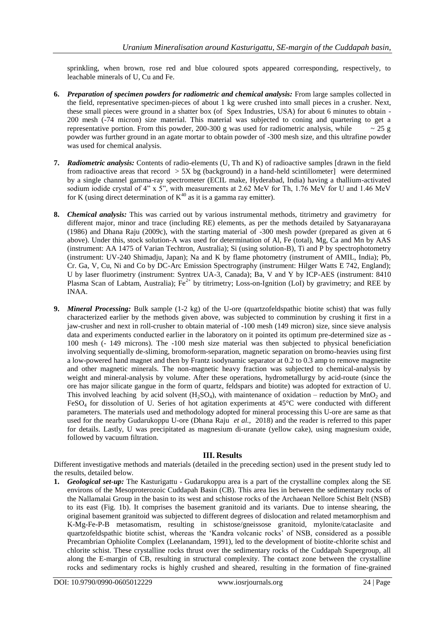sprinkling, when brown, rose red and blue coloured spots appeared corresponding, respectively, to leachable minerals of U, Cu and Fe.

- **6.** *Preparation of specimen powders for radiometric and chemical analysis:* From large samples collected in the field, representative specimen-pieces of about 1 kg were crushed into small pieces in a crusher. Next, these small pieces were ground in a shatter box (of Spex Industries, USA) for about 6 minutes to obtain - 200 mesh (-74 micron) size material. This material was subjected to coning and quartering to get a representative portion. From this powder, 200-300 g was used for radiometric analysis, while  $\sim$  25 g powder was further ground in an agate mortar to obtain powder of -300 mesh size, and this ultrafine powder was used for chemical analysis.
- **7.** *Radiometric analysis:* Contents of radio-elements (U, Th and K) of radioactive samples [drawn in the field from radioactive areas that record  $> 5X$  bg (background) in a hand-held scintillometer] were determined by a single channel gamma-ray spectrometer (ECIL make, Hyderabad, India) having a thallium-activated sodium iodide crystal of 4" x 5", with measurements at 2.62 MeV for Th, 1.76 MeV for U and 1.46 MeV for K (using direct determination of  $K^{40}$  as it is a gamma ray emitter).
- **8.** *Chemical analysis:* This was carried out by various instrumental methods, titrimetry and gravimetry for different major, minor and trace (including RE) elements, as per the methods detailed by Satyanarayana (1986) and Dhana Raju (2009c), with the starting material of -300 mesh powder (prepared as given at 6 above). Under this, stock solution-A was used for determination of Al, Fe (total), Mg, Ca and Mn by AAS (instrument: AA 1475 of Varian Techtron, Australia); Si (using solution-B), Ti and P by spectrophotometry (instrument: UV-240 Shimadju, Japan); Na and K by flame photometry (instrument of AMIL, India); Pb, Cr. Ga, V, Cu, Ni and Co by DC-Arc Emission Spectrography (instrument: Hilger Watts E 742, England); U by laser fluorimetry (instrument: Syntrex UA-3, Canada); Ba, V and Y by ICP-AES (instrument: 8410 Plasma Scan of Labtam, Australia);  $Fe^{2+}$  by titrimetry; Loss-on-Ignition (LoI) by gravimetry; and REE by INAA.
- **9.** *Mineral Processing:* Bulk sample (1-2 kg) of the U-ore (quartzofeldspathic biotite schist) that was fully characterized earlier by the methods given above, was subjected to comminution by crushing it first in a jaw-crusher and next in roll-crusher to obtain material of -100 mesh (149 micron) size, since sieve analysis data and experiments conducted earlier in the laboratory on it pointed its optimum pre-determined size as - 100 mesh (- 149 microns). The -100 mesh size material was then subjected to physical beneficiation involving sequentially de-sliming, bromoform-separation, magnetic separation on bromo-heavies using first a low-powered hand magnet and then by Frantz isodynamic separator at 0.2 to 0.3 amp to remove magnetite and other magnetic minerals. The non-magnetic heavy fraction was subjected to chemical-analysis by weight and mineral-analysis by volume. After these operations, hydrometallurgy by acid-route (since the ore has major silicate gangue in the form of quartz, feldspars and biotite) was adopted for extraction of U. This involved leaching by acid solvent  $(H_2SO_4)$ , with maintenance of oxidation – reduction by MnO<sub>2</sub> and  $FeSO<sub>4</sub>$  for dissolution of U. Series of hot agitation experiments at 45°C were conducted with different parameters. The materials used and methodology adopted for mineral processing this U-ore are same as that used for the nearby Gudarukoppu U-ore (Dhana Raju *et al.,* 2018) and the reader is referred to this paper for details. Lastly, U was precipitated as magnesium di-uranate (yellow cake), using magnesium oxide, followed by vacuum filtration.

## **III. Results**

Different investigative methods and materials (detailed in the preceding section) used in the present study led to the results, detailed below.

**1.** *Geological set-up:* The Kasturigattu - Gudarukoppu area is a part of the crystalline complex along the SE environs of the Mesoproterozoic Cuddapah Basin (CB). This area lies in between the sedimentary rocks of the Nallamalai Group in the basin to its west and schistose rocks of the Archaean Nellore Schist Belt (NSB) to its east (Fig. 1b). It comprises the basement granitoid and its variants. Due to intense shearing, the original basement granitoid was subjected to different degrees of dislocation and related metamorphism and K-Mg-Fe-P-B metasomatism, resulting in schistose/gneissose granitoid, mylonite/cataclasite and quartzofeldspathic biotite schist, whereas the "Kandra volcanic rocks" of NSB, considered as a possible Precambrian Ophiolite Complex (Leelanandam, 1991), led to the development of biotite-chlorite schist and chlorite schist. These crystalline rocks thrust over the sedimentary rocks of the Cuddapah Supergroup, all along the E-margin of CB, resulting in structural complexity. The contact zone between the crystalline rocks and sedimentary rocks is highly crushed and sheared, resulting in the formation of fine-grained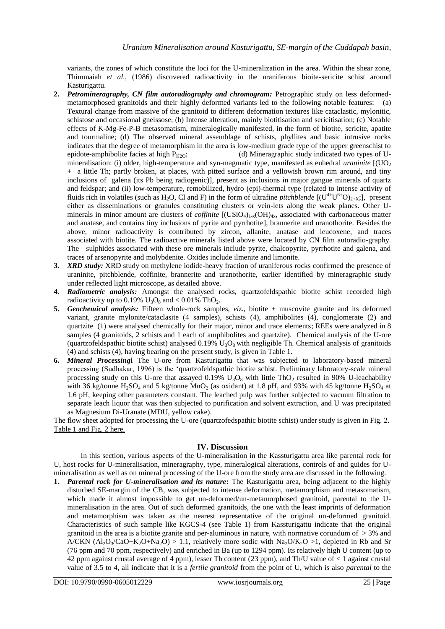variants, the zones of which constitute the loci for the U-mineralization in the area. Within the shear zone, Thimmaiah *et al.,* (1986) discovered radioactivity in the uraniferous bioite-sericite schist around Kasturigattu.

- **2.** *Petromineragraphy, CN film autoradiography and chromogram:* Petrographic study on less deformedmetamorphosed granitoids and their highly deformed variants led to the following notable features: (a) Textural change from massive of the granitoid to different deformation textures like cataclastic, mylonitic, schistose and occasional gneissose; (b) Intense alteration, mainly biotitisation and sericitisation; (c) Notable effects of K-Mg-Fe-P-B metasomatism, mineralogically manifested, in the form of biotite, sericite, apatite and tourmaline; (d) The observed mineral assemblage of schists, phyllites and basic intrusive rocks indicates that the degree of metamorphism in the area is low-medium grade type of the upper greenschist to epidote-amphibolite facies at high  $P_{H2O}$ ; (d) Mineragraphic study indicated two types of Umineralisation: (i) older, high-temperature and syn-magmatic type, manifested as euhedral *uraninite* [(UO<sub>2</sub>) + a little Th; partly broken, at places, with pitted surface and a yellowish brown rim around, and tiny inclusions of galena (its Pb being radiogenic)], present as inclusions in major gangue minerals of quartz and feldspar; and (ii) low-temperature, remobilized, hydro (epi)-thermal type (related to intense activity of fluids rich in volatiles (such as H<sub>2</sub>O, Cl and F) in the form of ultrafine *pitchblende*  $[(U^{4+}U^{6+}O)_{2+X}]$ , present either as disseminations or granules constituting clusters or vein-lets along the weak planes. Other Uminerals in minor amount are clusters of *coffinite*  $[(USiO<sub>4</sub>)<sub>1-x</sub>(OH)<sub>4x</sub>$ , associated with carbonaceous matter and anatase, and contains tiny inclusions of pyrite and pyrrhotite], brannerite and uranothorite. Besides the above, minor radioactivity is contributed by zircon, allanite, anatase and leucoxene, and traces associated with biotite. The radioactive minerals listed above were located by CN film autoradio-graphy. The sulphides associated with these ore minerals include pyrite, chalcopyrite, pyrrhotite and galena, and traces of arsenopyrite and molybdenite. Oxides include ilmenite and limonite.
- **3.** *XRD study:* XRD study on methylene iodide-heavy fraction of uraniferous rocks confirmed the presence of uraninite, pitchblende, coffinite, brannerite and uranothorite, earlier identified by mineragraphic study under reflected light microscope, as detailed above.
- **4.** *Radiometric analysis:* Amongst the analysed rocks, quartzofeldspathic biotite schist recorded high radioactivity up to 0.19%  $U_3O_8$  and < 0.01% ThO<sub>2</sub>.
- **5.** *Geochemical analysis:* Fifteen whole-rock samples,  $viz.$ , biotite  $\pm$  muscovite granite and its deformed variant, granite mylonite/cataclasite (4 samples), schists (4), amphibolites (4), conglomerate (2) and quartzite (1) were analysed chemically for their major, minor and trace elements; REEs were analyzed in 8 samples (4 granitoids, 2 schists and 1 each of amphibolites and quartzite). Chemical analysis of the U-ore (quartzofeldspathic biotite schist) analysed 0.19%  $U_3O_8$  with negligible Th. Chemical analysis of granitoids (4) and schists (4), having bearing on the present study, is given in Table 1.
- **6.** *Mineral Processing***i** The U-ore from Kasturigattu that was subjected to laboratory-based mineral processing (Sudhakar, 1996) is the "quartzofeldspathic biotite schist. Preliminary laboratory-scale mineral processing study on this U-ore that assayed  $0.19\%$  U<sub>3</sub>O<sub>8</sub> with little ThO<sub>2</sub> resulted in 90% U-leachability with 36 kg/tonne  $H_2SO_4$  and 5 kg/tonne MnO<sub>2</sub> (as oxidant) at 1.8 pH, and 93% with 45 kg/tonne  $H_2SO_4$  at 1.6 pH, keeping other parameters constant. The leached pulp was further subjected to vacuum filtration to separate leach liquor that was then subjected to purification and solvent extraction, and U was precipitated as Magnesium Di-Uranate (MDU, yellow cake).

The flow sheet adopted for processing the U-ore (quartzofedspathic biotite schist) under study is given in Fig. 2. Table 1 and Fig. 2 here.

#### **IV. Discussion**

In this section, various aspects of the U-mineralisation in the Kassturigattu area like parental rock for U, host rocks for U-mineralisation, mineragraphy, type, mineralogical alterations, controls of and guides for Umineralisation as well as on mineral processing of the U-ore from the study area are discussed in the following.

**1.** *Parental rock for U-mineralisation and its nature***:** The Kasturigattu area, being adjacent to the highly disturbed SE-margin of the CB, was subjected to intense deformation, metamorphism and metasomatism, which made it almost impossible to get un-deformed/un-metamorphosed granitoid, parental to the Umineralisation in the area. Out of such deformed granitoids, the one with the least imprints of deformation and metamorphism was taken as the nearest representative of the original un-deformed granitoid. Characteristics of such sample like KGCS-4 (see Table 1) from Kassturigattu indicate that the original granitoid in the area is a biotite granite and per-aluminous in nature, with normative corundum of  $> 3\%$  and A/CKN  $(A_2O_3/CaO+K_2O+Na_2O) > 1.1$ , relatively more sodic with  $Na_2O/K_2O > 1$ , depleted in Rb and Sr (76 ppm and 70 ppm, respectively) and enriched in Ba (up to 1294 ppm). Its relatively high U content (up to 42 ppm against crustal average of 4 ppm), lesser Th content (23 ppm), and Th/U value of < 1 against crustal value of 3.5 to 4, all indicate that it is a *fertile granitoid* from the point of U, which is also *parental* to the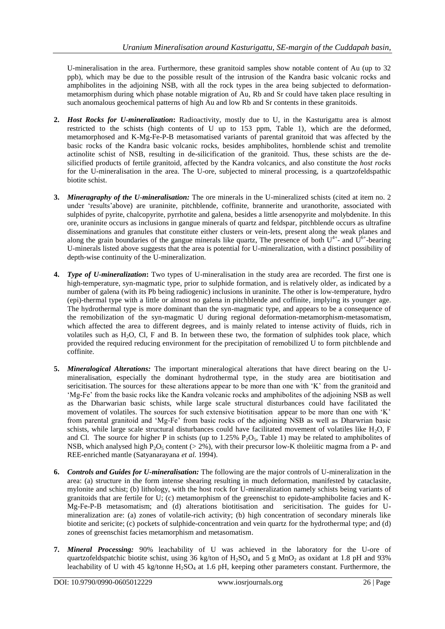U-mineralisation in the area. Furthermore, these granitoid samples show notable content of Au (up to 32 ppb), which may be due to the possible result of the intrusion of the Kandra basic volcanic rocks and amphibolites in the adjoining NSB, with all the rock types in the area being subjected to deformationmetamorphism during which phase notable migration of Au, Rb and Sr could have taken place resulting in such anomalous geochemical patterns of high Au and low Rb and Sr contents in these granitoids.

- **2.** *Host Rocks for U-mineralization***:** Radioactivity, mostly due to U, in the Kasturigattu area is almost restricted to the schists (high contents of U up to 153 ppm, Table 1), which are the deformed, metamorphosed and K-Mg-Fe-P-B metasomatised variants of parental granitoid that was affected by the basic rocks of the Kandra basic volcanic rocks, besides amphibolites, hornblende schist and tremolite actinolite schist of NSB, resulting in de-silicification of the granitoid. Thus, these schists are the desilicified products of fertile granitoid, affected by the Kandra volcanics, and also constitute the *host rocks* for the U-mineralisation in the area. The U-ore, subjected to mineral processing, is a quartzofeldspathic biotite schist.
- **3.** *Mineragraphy of the U-mineralisation:* The ore minerals in the U-mineralized schists (cited at item no. 2) under "results"above) are uraninite, pitchblende, coffinite, brannerite and uranothorite, associated with sulphides of pyrite, chalcopyrite, pyrrhotite and galena, besides a little arsenopyrite and molybdenite. In this ore, uraninite occurs as inclusions in gangue minerals of quartz and feldspar, pitchblende occurs as ultrafine disseminations and granules that constitute either clusters or vein-lets, present along the weak planes and along the grain boundaries of the gangue minerals like quartz, The presence of both  $U^{4+}$ - and  $\hat{U}^{6+}$ -bearing U-minerals listed above suggests that the area is potential for U-mineralization, with a distinct possibility of depth-wise continuity of the U-mineralization.
- **4.** *Type of U-mineralization***:** Two types of U-mineralisation in the study area are recorded. The first one is high-temperature, syn-magmatic type, prior to sulphide formation, and is relatively older, as indicated by a number of galena (with its Pb being radiogenic) inclusions in uraninite. The other is low-temperature, hydro (epi)-thermal type with a little or almost no galena in pitchblende and coffinite, implying its younger age. The hydrothermal type is more dominant than the syn-magmatic type, and appears to be a consequence of the remobilization of the syn-magmatic U during regional deformation-metamorphism-metasomatism, which affected the area to different degrees, and is mainly related to intense activity of fluids, rich in volatiles such as  $H_2O$ , Cl, F and B. In between these two, the formation of sulphides took place, which provided the required reducing environment for the precipitation of remobilized U to form pitchblende and coffinite.
- **5.** *Mineralogical Alterations:* The important mineralogical alterations that have direct bearing on the Umineralisation, especially the dominant hydrothermal type, in the study area are biotitisation and sericitisation. The sources for these alterations appear to be more than one with 'K' from the granitoid and "Mg-Fe" from the basic rocks like the Kandra volcanic rocks and amphibolites of the adjoining NSB as well as the Dharwarian basic schists, while large scale structural disturbances could have facilitated the movement of volatiles. The sources for such extensive biotitisation appear to be more than one with "K" from parental granitoid and "Mg-Fe" from basic rocks of the adjoining NSB as well as Dharwrian basic schists, while large scale structural disturbances could have facilitated movement of volatiles like  $H_2O$ , F and Cl. The source for higher P in schists (up to  $1.25\%$  P<sub>2</sub>O<sub>5</sub>, Table 1) may be related to amphibolites of NSB, which analysed high P<sub>2</sub>O<sub>5</sub> content ( $> 2\%$ ), with their precursor low-K tholeiitic magma from a P- and REE-enriched mantle (Satyanarayana *et al.* 1994).
- **6.** *Controls and Guides for U-mineralisation:* The following are the major controls of U-mineralization in the area: (a) structure in the form intense shearing resulting in much deformation, manifested by cataclasite, mylonite and schist; (b) lithology, with the host rock for U-mineralization namely schists being variants of granitoids that are fertile for U; (c) metamorphism of the greenschist to epidote-amphibolite facies and K-Mg-Fe-P-B metasomatism; and (d) alterations biotitisation and sericitisation. The guides for Umineralization are: (a) zones of volatile-rich activity; (b) high concentration of secondary minerals like biotite and sericite; (c) pockets of sulphide-concentration and vein quartz for the hydrothermal type; and (d) zones of greenschist facies metamorphism and metasomatism.
- **7.** *Mineral Processing:* 90% leachability of U was achieved in the laboratory for the U-ore of quartzofeldspatchic biotite schist, using 36 kg/ton of  $H_2SO_4$  and 5 g MnO<sub>2</sub> as oxidant at 1.8 pH and 93% leachability of U with 45 kg/tonne  $H_2SO_4$  at 1.6 pH, keeping other parameters constant. Furthermore, the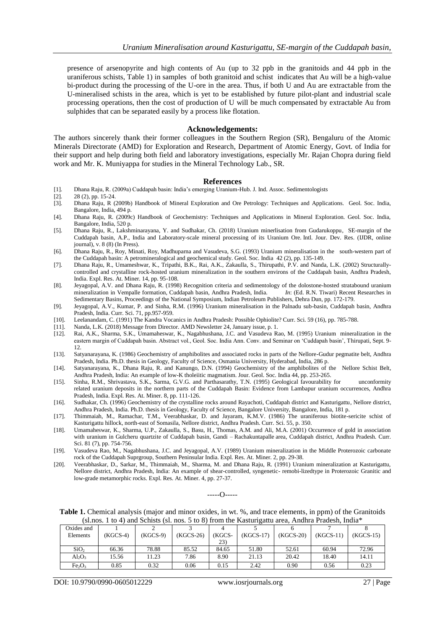presence of arsenopyrite and high contents of Au (up to 32 ppb in the granitoids and 44 ppb in the uraniferous schists, Table 1) in samples of both granitoid and schist indicates that Au will be a high-value bi-product during the processing of the U-ore in the area. Thus, if both U and Au are extractable from the U-mineralised schists in the area, which is yet to be established by future pilot-plant and industrial scale processing operations, then the cost of production of U will be much compensated by extractable Au from sulphides that can be separated easily by a process like flotation.

#### **Acknowledgements:**

The authors sincerely thank their former colleagues in the Southern Region (SR), Bengaluru of the Atomic Minerals Directorate (AMD) for Exploration and Research, Department of Atomic Energy, Govt. of India for their support and help during both field and laboratory investigations, especially Mr. Rajan Chopra during field work and Mr. K. Muniyappa for studies in the Mineral Technology Lab., SR.

#### **References**

- [1]. Dhana Raju, R. (2009a) Cuddapah basin: India"s emerging Uranium-Hub. J. Ind. Assoc. Sedimentologists
- [2]. 28 (2), pp. 15-24.<br>[3]. Dhana Raju, R (
- [3]. Dhana Raju, R (2009b) Handbook of Mineral Exploration and Ore Petrology: Techniques and Applications. Geol. Soc. India, Bangalore, India, 494 p.
- [4]. Dhana Raju, R. (2009c) Handbook of Geochemistry: Techniques and Applications in Mineral Exploration. Geol. Soc. India, Bangalore, India, 520 p.
- [5]. Dhana Raju, R., Lakshminarayana, Y. and Sudhakar, Ch. (2018) Uranium minerlisation from Gudarukoppu, SE-margin of the Cuddapah basin, A.P., India and Laboratory-scale mineral processing of its Uranium Ore. Intl. Jour. Dev. Res. (IJDR, online journal), v. 8 (8) (In Press).
- [6]. Dhana Raju, R., Roy, Minati, Roy, Madhuparna and Vasudeva, S.G. (1993) Uranium mineralisation in the south-western part of the Cuddapah basin: A petromineralogical and geochemical study. Geol. Soc. India 42 (2), pp. 135-149.
- [7]. Dhana Raju, R., Umameshwar, K., Tripathi, B.K., Rai, A.K., Zakaulla, S., Thirupathi, P.V. and Nanda, L.K. (2002) Structurallycontrolled and crystalline rock-hosted uranium mineralization in the southern environs of the Cuddapah basin, Andhra Pradesh, India. Expl. Res. At. Miner. 14, pp. 95-108.
- [8]. Jeyagopal, A.V. and Dhana Raju, R. (1998) Recognition criteria and sedimentology of the dolostone-hosted stratabound uranium mineralization in Vempalle formation, Cuddapah basin, Andhra Pradesh, India. *In*: (Ed. R.N. Tiwari) Recent Researches in Sedimentary Basins, Proceedings of the National Symposium, Indian Petroleum Publishers, Dehra Dun, pp. 172-179.
- [9]. Jeyagopal, A.V., Kumar, P. and Sinha, R.M. (1996) Uranium mineralisation in the Palnadu sub-basin, Cuddapah basin, Andhra Pradesh, India. Curr. Sci. 71, pp.957-959.
- [10]. Leelanandam, C. (1991) The Kandra Vocanics in Andhra Pradesh: Possible Ophiolite? Curr. Sci. 59 (16), pp. 785-788.
- [11]. Nanda, L.K. (2018) Message from Director. AMD Newsletter 24, January issue, p. 1.
- [12]. Rai, A.K., Sharma, S.K., Umamaheswar, K., Nagabhushana, J.C. and Vasudeva Rao, M. (1995) Uranium mineralization in the eastern margin of Cuddapah basin. Abstract vol., Geol. Soc. India Ann. Conv. and Seminar on 'Cuddapah basin', Thirupati, Sept. 9-12.
- [13]. Satyanarayana, K. (1986) Geochemistry of amphibolites and associated rocks in parts of the Nellore-Gudur pegmatite belt, Andhra Pradesh, India. Ph.D. thesis in Geology, Faculty of Science, Osmania University, Hyderabad, India, 286 p.
- [14]. Satyanarayana, K., Dhana Raju, R. and Kanungo, D.N. (1994) Geochemistry of the amphibolites of the Nellore Schist Belt, Andhra Pradesh, India: An example of low-K tholeiitic magmatism. Jour. Geol. Soc. India 44, pp. 253-265.
- [15]. Sinha, R.M., Shrivastava, S.K., Sarma, G.V.G. and Parthasarathy, T.N. (1995) Geological favourability for unconformity related uranium deposits in the northern parts of the Cuddapah Basin: Evidence from Lambapur uranium occurrences, Andhra Pradesh, India. Expl. Res. At. Miner. 8, pp. 111-126.
- [16]. Sudhakar, Ch. (1996) Geochemistry of the crystalline rocks around Rayachoti, Cuddapah district and Kasturigattu, Nellore district, Andhra Pradesh, India. Ph.D. thesis in Geology, Faculty of Science, Bangalore University, Bangalore, India, 181 p.
- [17]. Thimmaiah, M., Ramachar, T.M., Veerabhaskar, D. and Jayaram, K.M.V. (1986) The uraniferous biotite-sericite schist of Kasturigattu hillock, north-east of Somasila, Nellore district, Andhra Pradesh. Curr. Sci. 55, p. 350.
- [18]. Umamaheswar, K., Sharma, U.P., Zakaulla, S., Basu, H., Thomas, A.M. and Ali, M.A. (2001) Occurrence of gold in association with uranium in Gulcheru quartzite of Cuddapah basin, Gandi – Rachakuntapalle area, Cuddapah district, Andhra Pradesh. Curr. Sci. 81 (7), pp. 754-756.
- [19]. Vasudeva Rao, M., Nagabhushana, J.C. and Jeyagopal, A.V. (1989) Uranium mineralization in the Middle Proterozoic carbonate rock of the Cuddapah Suprgroup, Southern Peninsular India. Expl. Res. At. Miner. 2, pp. 29-38.
- [20]. Veerabhaskar, D., Sarkar, M., Thimmaiah, M., Sharma, M. and Dhana Raju, R. (1991) Uranium mineralization at Kasturigattu, Nellore district, Andhra Pradesh, India: An example of shear-controlled, syngenetic- remobi-lizedtype in Proterozoic Granitic and low-grade metamorphic rocks. Expl. Res. At. Miner. 4, pp. 27-37.

-----O-----

**Table 1.** Chemical analysis (major and minor oxides, in wt. %, and trace elements, in ppm) of the Granitoids (sl.nos. 1 to 4) and Schists (sl. nos. 5 to 8) from the Kasturigattu area, Andhra Pradesh, India\*

| Oxides and                     |          |          |           |              |             |             |             |             |
|--------------------------------|----------|----------|-----------|--------------|-------------|-------------|-------------|-------------|
| Elements                       | (KGCS-4) | (KGCS-9) | (KGCS-26) | <b>KGCS-</b> | $(KGCS-17)$ | $(KGCS-20)$ | $(KGCS-11)$ | $(KGCS-15)$ |
|                                |          |          |           | 23)          |             |             |             |             |
| SiO <sub>2</sub>               | 66.36    | 78.88    | 85.52     | 84.65        | 51.80       | 52.61       | 60.94       | 72.96       |
| $Al_2O_3$                      | 15.56    | 1.23     | 7.86      | 8.90         | 21.13       | 20.42       | 18.40       | 14.11       |
| Fe <sub>2</sub> O <sub>3</sub> | 0.85     | 0.32     | 0.06      | 0.15         | 2.42        | 0.90        | 0.56        | 0.23        |

DOI: 10.9790/0990-0605012229 www.iosrjournals.org 27 | Page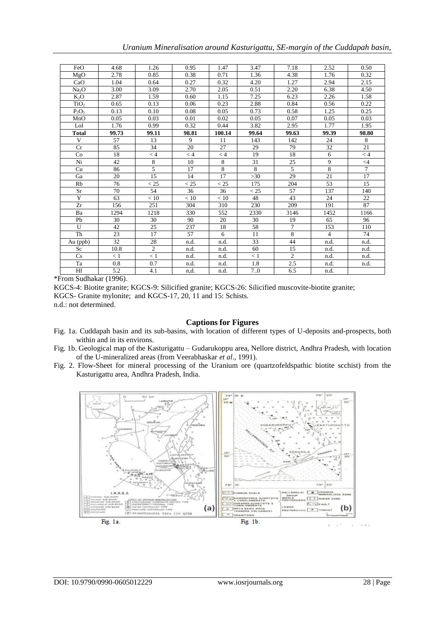| FeO               | 4.68  | 1.26           | 0.95  | 1.47   | 3.47           | 7.18           | 2.52           | 0.50           |
|-------------------|-------|----------------|-------|--------|----------------|----------------|----------------|----------------|
| MgO               | 2.78  | 0.85           | 0.38  | 0.71   | 1.36           | 4.38           | 1.76           | 0.32           |
| CaO               | 1.04  | 0.64           | 0.27  | 0.32   | 4.20           | 1.27           | 2.94           | 2.15           |
| Na <sub>2</sub> O | 3.00  | 3.09           | 2.70  | 2.05   | 0.51           | 2.20           | 6.38           | 4.50           |
| $K_2O$            | 2.87  | 1.59           | 0.60  | 1.15   | 7.25           | 6.23           | 2.26           | 1.58           |
| TiO <sub>2</sub>  | 0.65  | 0.13           | 0.06  | 0.23   | 2.88           | 0.84           | 0.56           | 0.22           |
| $P_2O_5$          | 0.13  | 0.10           | 0.08  | 0.05   | 0.73           | 0.58           | 1.25           | 0.25           |
| MnO               | 0.05  | 0.03           | 0.01  | 0.02   | 0.05           | 0.07           | 0.05           | 0.03           |
| LoI               | 1.76  | 0.99           | 0.32  | 0.44   | 3.82           | 2.95           | 1.77           | 1.95           |
| <b>Total</b>      | 99.73 | 99.11          | 98.81 | 100.14 | 99.64          | 99.63          | 99.39          | 98.80          |
| V                 | 57    | 13             | 9     | 11     | 143            | 142            | 24             | 8              |
| Cr                | 85    | 34             | 20    | 27     | 29             | 79             | 32             | 21             |
| Co                | 18    | $\lt 4$        | < 4   | < 4    | 19             | 18             | 6              | < 4            |
| Ni                | 42    | 8              | 10    | 8      | 31             | 25             | 9              | $\leq 4$       |
| Cu                | 86    | 5              | 17    | 8      | $\overline{8}$ | 5              | 8              | $\overline{7}$ |
| Ga                | 20    | 15             | 14    | 17     | $>30$          | 29             | 21             | 17             |
| Rb                | 76    | < 25           | < 25  | < 25   | 175            | 204            | 53             | 15             |
| <b>Sr</b>         | 70    | 54             | 36    | 36     | < 25           | 57             | 137            | 140            |
| Y                 | 63    | < 10           | < 10  | < 10   | 48             | 43             | 24             | 22             |
| Zr                | 156   | 251            | 304   | 310    | 230            | 209            | 191            | 87             |
| Ba                | 1294  | 1218           | 330   | 552    | 2330           | 3146           | 1452           | 1166           |
| Pb                | 30    | 30             | 90    | 20     | 30             | 19             | 65             | 96             |
| U                 | 42    | 25             | 237   | 18     | 58             | 7              | 153            | 110            |
| Th                | 23    | 17             | 57    | 6      | 11             | 8              | $\overline{4}$ | 74             |
| Au (ppb)          | 32    | 28             | n.d.  | n.d.   | 33             | 44             | n.d.           | n.d.           |
| Sc                | 10.8  | $\overline{c}$ | n.d.  | n.d.   | 60             | 15             | n.d.           | n.d.           |
| Cs                | < 1   | < 1            | n.d.  | n.d.   | < 1            | $\overline{2}$ | n.d.           | n.d.           |
| Ta                | 0.8   | 0.7            | n.d.  | n.d.   | 1.8            | 2.5            | n.d.           | n.d.           |
| Hf                | 5.2   | 4.1            | n,d.  | n.d.   | 7.0            | 6.5            | n.d.           |                |

\*From Sudhakar (1996).

KGCS-4: Biotite granite; KGCS-9: Silicified granite; KGCS-26: Silicified muscovite-biotite granite; KGCS- Granite mylonite; and KGCS-17, 20, 11 and 15: Schists. n.d.: not determined.

## **Captions for Figures**

- Fig. 1a. Cuddapah basin and its sub-basins, with location of different types of U-deposits and-prospects, both within and in its environs.
- Fig. 1b. Geological map of the Kasturigattu Gudarukoppu area, Nellore district, Andhra Pradesh, with location of the U-mineralized areas (from Veerabhaskar *et al*., 1991).
- Fig. 2. Flow-Sheet for mineral processing of the Uranium ore (quartzofeldspathic biotite scchist) from the Kasturigattu area, Andhra Pradesh, India.